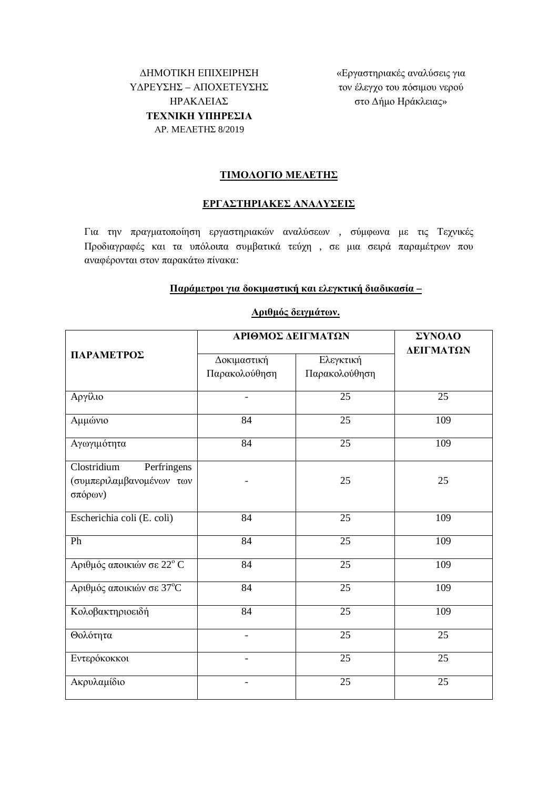ΔΗΜΟΤΙΚΗ ΕΠΙΧΕΙΡΗΣΗ<br>
«Εργαστηριακές αναλύσεις για ΥΔΡΕΥΣΗΣ – ΑΠΟΧΕΤΕΥΣΗΣ ǾȇǹȀȁǼǿǹȈ **TEXNIKH ΥΠΗΡΕΣΙΑ** AP. MEΛETHΣ 8/2019

τον έλεγχο του πόσιμου νερού στο Δήμο Ηράκλειας»

### **TIMOAOFIO MEAETHΣ**

### **ǼȇīǹȈȉǾȇǿǹȀǼȈǹȃǹȁȊȈǼǿȈ**

Για την πραγματοποίηση εργαστηριακών αναλύσεων , σύμφωνα με τις Τεχνικές Προδιαγραφές και τα υπόλοιπα συμβατικά τεύχη, σε μια σειρά παραμέτρων που αναφέρονται στον παρακάτω πίνακα:

#### **ȆĮȡȐȝİIJȡȠȚȖȚĮįȠțȚȝĮıIJȚțȒțĮȚİȜİȖțIJȚțȒįȚĮįȚțĮıȓĮ –**

| ΠΑΡΑΜΕΤΡΟΣ                                                        | ΑΡΙΘΜΟΣ ΔΕΙΓΜΑΤΩΝ            |                            | ΣΥΝΟΛΟ<br>ΔΕΙΓΜΑΤΩΝ |
|-------------------------------------------------------------------|------------------------------|----------------------------|---------------------|
|                                                                   | Δοκιμαστική<br>Παρακολούθηση | Ελεγκτική<br>Παρακολούθηση |                     |
| Αργίλιο                                                           |                              | 25                         | 25                  |
| Αμμώνιο                                                           | 84                           | 25                         | 109                 |
| Αγωγιμότητα                                                       | 84                           | 25                         | 109                 |
| Clostridium<br>Perfringens<br>(συμπεριλαμβανομένων των<br>σπόρων) |                              | 25                         | 25                  |
| Escherichia coli (E. coli)                                        | 84                           | 25                         | 109                 |
| Ph                                                                | 84                           | 25                         | 109                 |
| Αριθμός αποικιών σε 22° C                                         | 84                           | $\overline{25}$            | 109                 |
| Αριθμός αποικιών σε 37°C                                          | 84                           | 25                         | 109                 |
| Κολοβακτηριοειδή                                                  | 84                           | 25                         | 109                 |
| Θολότητα                                                          | $\overline{\phantom{a}}$     | 25                         | 25                  |
| Εντερόκοκκοι                                                      |                              | 25                         | 25                  |
| Ακρυλαμίδιο                                                       |                              | 25                         | 25                  |

# *<u></u>Δριθμός δειγμάτων.*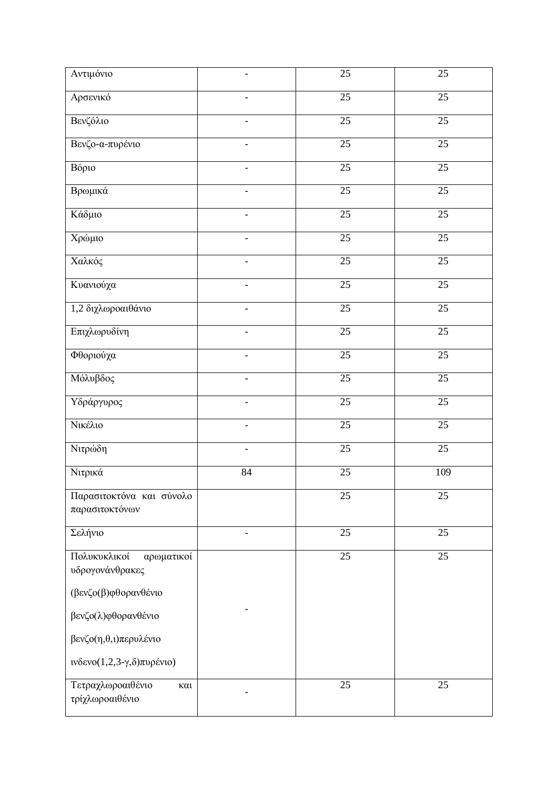| Αντιμόνιο                                     | $\qquad \qquad -$        | 25              | 25              |
|-----------------------------------------------|--------------------------|-----------------|-----------------|
| Αρσενικό                                      |                          | 25              | $\overline{25}$ |
| Βενζόλιο                                      |                          | $\overline{25}$ | $\overline{25}$ |
| Βενζο-α-πυρένιο                               |                          | $\overline{25}$ | $\overline{25}$ |
| Βόριο                                         |                          | $\overline{25}$ | $\overline{25}$ |
| Βρωμικά                                       |                          | $\overline{25}$ | $\overline{25}$ |
| Κάδμιο                                        | $\overline{\phantom{a}}$ | $\overline{25}$ | $\overline{25}$ |
| Χρώμιο                                        | $\overline{\phantom{a}}$ | 25              | 25              |
| Χαλκός                                        |                          | $\overline{25}$ | $\overline{25}$ |
| Κυανιούχα                                     |                          | $\overline{25}$ | 25              |
| 1,2 διχλωροαιθάνιο                            |                          | $\overline{25}$ | $\overline{25}$ |
| Επιχλωρυδίνη                                  |                          | $\overline{25}$ | $\overline{25}$ |
| Φθοριούχα                                     |                          | 25              | 25              |
| Μόλυβδος                                      | $\overline{\phantom{0}}$ | $\overline{25}$ | $\overline{25}$ |
| Υδράργυρος                                    | $\frac{1}{2}$            | $\overline{25}$ | $\overline{25}$ |
| Νικέλιο                                       | $\overline{\phantom{0}}$ | 25              | 25              |
| Νιτρώδη                                       | $\overline{\phantom{a}}$ | $\overline{25}$ | $\overline{25}$ |
| Νιτρικά                                       | 84                       | 25              | 109             |
| Παρασιτοκτόνα και σύνολο<br>παρασιτοκτόνων    |                          | 25              | 25              |
| Σελήνιο                                       |                          | 25              | 25              |
| Πολυκυκλικοί<br>αρωματικοί<br>υδρογονάνθρακες |                          | $\overline{25}$ | $\overline{25}$ |
| (βενζο(β)φθορανθένιο                          |                          |                 |                 |
| βενζο(λ)φθορανθένιο                           |                          |                 |                 |
| βενζο(η,θ,ι)περυλένιο                         |                          |                 |                 |
| ινδενο $(1,2,3-\gamma,\delta)$ πυρένιο)       |                          |                 |                 |
| Τετραχλωροαιθένιο<br>και<br>τρίχλωροαιθένιο   |                          | $\overline{25}$ | 25              |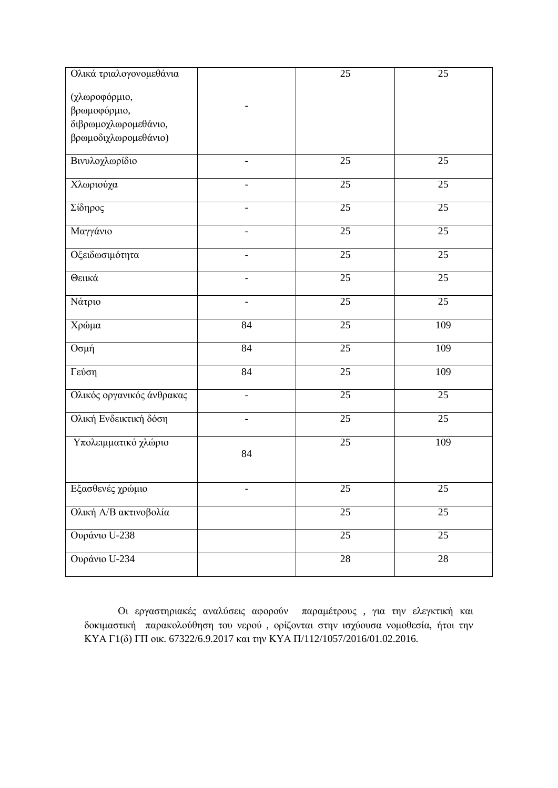| Ολικά τριαλογονομεθάνια   |                          | 25              | 25              |
|---------------------------|--------------------------|-----------------|-----------------|
| (χλωροφόρμιο,             |                          |                 |                 |
| βρωμοφόρμιο,              |                          |                 |                 |
| διβρωμοχλωρομεθάνιο,      |                          |                 |                 |
| βρωμοδιχλωρομεθάνιο)      |                          |                 |                 |
|                           |                          |                 |                 |
| Βινυλοχλωρίδιο            |                          | 25              | 25              |
| Χλωριούχα                 |                          | 25              | 25              |
| Σίδηρος                   |                          | 25              | 25              |
| Μαγγάνιο                  |                          | 25              | 25              |
| Οξειδωσιμότητα            |                          | $\overline{25}$ | $\overline{25}$ |
| Θειικά                    | $\overline{a}$           | $\overline{25}$ | $\overline{25}$ |
| Νάτριο                    | $\overline{\phantom{0}}$ | $\overline{25}$ | $\overline{25}$ |
| Χρώμα                     | 84                       | $\overline{25}$ | 109             |
| Οσμή                      | 84                       | 25              | 109             |
| Γεύση                     | 84                       | 25              | 109             |
| Ολικός οργανικός άνθρακας | $\overline{\phantom{0}}$ | $\overline{25}$ | 25              |
| Ολική Ενδεικτική δόση     |                          | 25              | 25              |
| Υπολειμματικό χλώριο      | 84                       | 25              | 109             |
|                           |                          |                 |                 |
| Εξασθενές χρώμιο          |                          | 25              | 25              |
| Ολική Α/Β ακτινοβολία     |                          | 25              | 25              |
| Ουράνιο U-238             |                          | $\overline{25}$ | 25              |
| Ουράνιο U-234             |                          | 28              | 28              |

Οι εργαστηριακές αναλύσεις αφορούν παραμέτρους, για την ελεγκτική και δοκιμαστική παρακολούθηση του νερού, ορίζονται στην ισχύουσα νομοθεσία, ήτοι την ΚΥΑ Γ1(δ) ΓΠ οικ. 67322/6.9.2017 και την ΚΥΑ Π/112/1057/2016/01.02.2016.